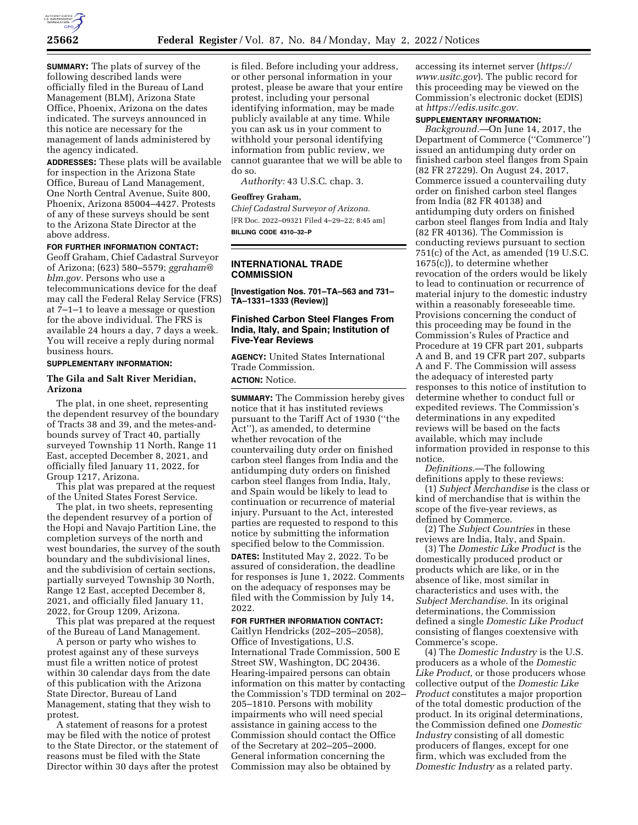

**SUMMARY:** The plats of survey of the following described lands were officially filed in the Bureau of Land Management (BLM), Arizona State Office, Phoenix, Arizona on the dates indicated. The surveys announced in this notice are necessary for the management of lands administered by the agency indicated.

**ADDRESSES:** These plats will be available for inspection in the Arizona State Office, Bureau of Land Management, One North Central Avenue, Suite 800, Phoenix, Arizona 85004–4427. Protests of any of these surveys should be sent to the Arizona State Director at the above address.

### **FOR FURTHER INFORMATION CONTACT:**

Geoff Graham, Chief Cadastral Surveyor of Arizona; (623) 580–5579; *ggraham@ blm.gov.* Persons who use a telecommunications device for the deaf may call the Federal Relay Service (FRS) at 7–1–1 to leave a message or question for the above individual. The FRS is available 24 hours a day, 7 days a week. You will receive a reply during normal business hours.

#### **SUPPLEMENTARY INFORMATION:**

## **The Gila and Salt River Meridian, Arizona**

The plat, in one sheet, representing the dependent resurvey of the boundary of Tracts 38 and 39, and the metes-andbounds survey of Tract 40, partially surveyed Township 11 North, Range 11 East, accepted December 8, 2021, and officially filed January 11, 2022, for Group 1217, Arizona.

This plat was prepared at the request of the United States Forest Service.

The plat, in two sheets, representing the dependent resurvey of a portion of the Hopi and Navajo Partition Line, the completion surveys of the north and west boundaries, the survey of the south boundary and the subdivisional lines, and the subdivision of certain sections, partially surveyed Township 30 North, Range 12 East, accepted December 8, 2021, and officially filed January 11, 2022, for Group 1209, Arizona.

This plat was prepared at the request of the Bureau of Land Management.

A person or party who wishes to protest against any of these surveys must file a written notice of protest within 30 calendar days from the date of this publication with the Arizona State Director, Bureau of Land Management, stating that they wish to protest.

A statement of reasons for a protest may be filed with the notice of protest to the State Director, or the statement of reasons must be filed with the State Director within 30 days after the protest

is filed. Before including your address, or other personal information in your protest, please be aware that your entire protest, including your personal identifying information, may be made publicly available at any time. While you can ask us in your comment to withhold your personal identifying information from public review, we cannot guarantee that we will be able to do so.

*Authority:* 43 U.S.C. chap. 3.

#### **Geoffrey Graham,**

*Chief Cadastral Surveyor of Arizona.*  [FR Doc. 2022–09321 Filed 4–29–22; 8:45 am] **BILLING CODE 4310–32–P** 

## **INTERNATIONAL TRADE COMMISSION**

**[Investigation Nos. 701–TA–563 and 731– TA–1331–1333 (Review)]** 

# **Finished Carbon Steel Flanges From India, Italy, and Spain; Institution of Five-Year Reviews**

**AGENCY:** United States International Trade Commission.

**ACTION:** Notice.

**SUMMARY:** The Commission hereby gives notice that it has instituted reviews pursuant to the Tariff Act of 1930 (''the Act''), as amended, to determine whether revocation of the countervailing duty order on finished carbon steel flanges from India and the antidumping duty orders on finished carbon steel flanges from India, Italy, and Spain would be likely to lead to continuation or recurrence of material injury. Pursuant to the Act, interested parties are requested to respond to this notice by submitting the information specified below to the Commission.

**DATES:** Instituted May 2, 2022. To be assured of consideration, the deadline for responses is June 1, 2022. Comments on the adequacy of responses may be filed with the Commission by July 14, 2022.

### **FOR FURTHER INFORMATION CONTACT:**

Caitlyn Hendricks (202–205–2058), Office of Investigations, U.S. International Trade Commission, 500 E Street SW, Washington, DC 20436. Hearing-impaired persons can obtain information on this matter by contacting the Commission's TDD terminal on 202– 205–1810. Persons with mobility impairments who will need special assistance in gaining access to the Commission should contact the Office of the Secretary at 202–205–2000. General information concerning the Commission may also be obtained by

accessing its internet server (*https:// www.usitc.gov*). The public record for this proceeding may be viewed on the Commission's electronic docket (EDIS) at *https://edis.usitc.gov.* 

# **SUPPLEMENTARY INFORMATION:**

*Background.*—On June 14, 2017, the Department of Commerce (''Commerce'') issued an antidumping duty order on finished carbon steel flanges from Spain (82 FR 27229). On August 24, 2017, Commerce issued a countervailing duty order on finished carbon steel flanges from India (82 FR 40138) and antidumping duty orders on finished carbon steel flanges from India and Italy (82 FR 40136). The Commission is conducting reviews pursuant to section 751(c) of the Act, as amended (19 U.S.C. 1675(c)), to determine whether revocation of the orders would be likely to lead to continuation or recurrence of material injury to the domestic industry within a reasonably foreseeable time. Provisions concerning the conduct of this proceeding may be found in the Commission's Rules of Practice and Procedure at 19 CFR part 201, subparts A and B, and 19 CFR part 207, subparts A and F. The Commission will assess the adequacy of interested party responses to this notice of institution to determine whether to conduct full or expedited reviews. The Commission's determinations in any expedited reviews will be based on the facts available, which may include information provided in response to this notice.

*Definitions.*—The following definitions apply to these reviews:

(1) *Subject Merchandise* is the class or kind of merchandise that is within the scope of the five-year reviews, as defined by Commerce.

(2) The *Subject Countries* in these reviews are India, Italy, and Spain.

(3) The *Domestic Like Product* is the domestically produced product or products which are like, or in the absence of like, most similar in characteristics and uses with, the *Subject Merchandise.* In its original determinations, the Commission defined a single *Domestic Like Product*  consisting of flanges coextensive with Commerce's scope.

(4) The *Domestic Industry* is the U.S. producers as a whole of the *Domestic Like Product,* or those producers whose collective output of the *Domestic Like Product* constitutes a major proportion of the total domestic production of the product. In its original determinations, the Commission defined one *Domestic Industry* consisting of all domestic producers of flanges, except for one firm, which was excluded from the *Domestic Industry* as a related party.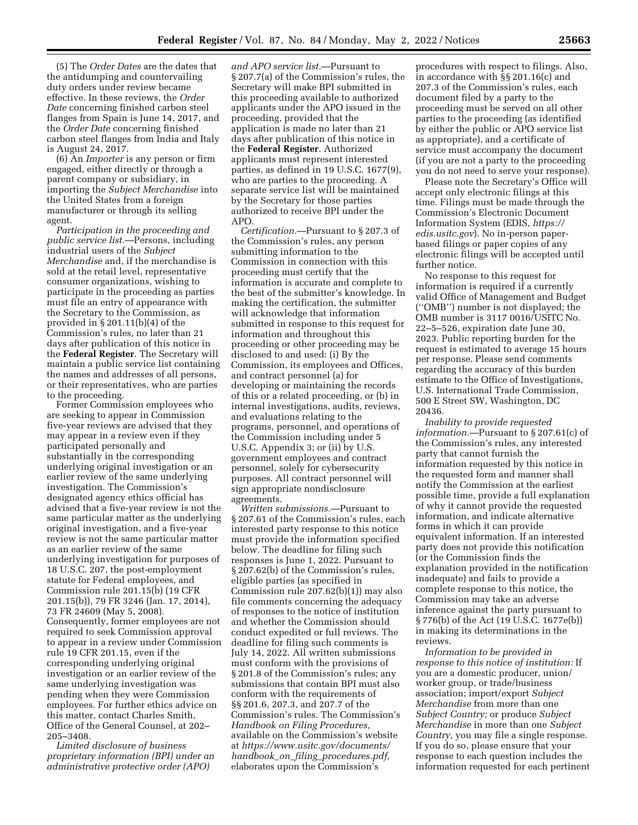(5) The *Order Dates* are the dates that the antidumping and countervailing duty orders under review became effective. In these reviews, the *Order Date* concerning finished carbon steel flanges from Spain is June 14, 2017, and the *Order Date* concerning finished carbon steel flanges from India and Italy is August 24, 2017.

(6) An *Importer* is any person or firm engaged, either directly or through a parent company or subsidiary, in importing the *Subject Merchandise* into the United States from a foreign manufacturer or through its selling agent.

*Participation in the proceeding and public service list.*—Persons, including industrial users of the *Subject Merchandise* and, if the merchandise is sold at the retail level, representative consumer organizations, wishing to participate in the proceeding as parties must file an entry of appearance with the Secretary to the Commission, as provided in § 201.11(b)(4) of the Commission's rules, no later than 21 days after publication of this notice in the **Federal Register**. The Secretary will maintain a public service list containing the names and addresses of all persons, or their representatives, who are parties to the proceeding.

Former Commission employees who are seeking to appear in Commission five-year reviews are advised that they may appear in a review even if they participated personally and substantially in the corresponding underlying original investigation or an earlier review of the same underlying investigation. The Commission's designated agency ethics official has advised that a five-year review is not the same particular matter as the underlying original investigation, and a five-year review is not the same particular matter as an earlier review of the same underlying investigation for purposes of 18 U.S.C. 207, the post-employment statute for Federal employees, and Commission rule 201.15(b) (19 CFR 201.15(b)), 79 FR 3246 (Jan. 17, 2014), 73 FR 24609 (May 5, 2008). Consequently, former employees are not required to seek Commission approval to appear in a review under Commission rule 19 CFR 201.15, even if the corresponding underlying original investigation or an earlier review of the same underlying investigation was pending when they were Commission employees. For further ethics advice on this matter, contact Charles Smith, Office of the General Counsel, at 202– 205–3408.

*Limited disclosure of business proprietary information (BPI) under an administrative protective order (APO)* 

*and APO service list.*—Pursuant to § 207.7(a) of the Commission's rules, the Secretary will make BPI submitted in this proceeding available to authorized applicants under the APO issued in the proceeding, provided that the application is made no later than 21 days after publication of this notice in the **Federal Register**. Authorized applicants must represent interested parties, as defined in 19 U.S.C. 1677(9), who are parties to the proceeding. A separate service list will be maintained by the Secretary for those parties authorized to receive BPI under the APO.

*Certification.*—Pursuant to § 207.3 of the Commission's rules, any person submitting information to the Commission in connection with this proceeding must certify that the information is accurate and complete to the best of the submitter's knowledge. In making the certification, the submitter will acknowledge that information submitted in response to this request for information and throughout this proceeding or other proceeding may be disclosed to and used: (i) By the Commission, its employees and Offices, and contract personnel (a) for developing or maintaining the records of this or a related proceeding, or (b) in internal investigations, audits, reviews, and evaluations relating to the programs, personnel, and operations of the Commission including under 5 U.S.C. Appendix 3; or (ii) by U.S. government employees and contract personnel, solely for cybersecurity purposes. All contract personnel will sign appropriate nondisclosure agreements.

*Written submissions.*—Pursuant to § 207.61 of the Commission's rules, each interested party response to this notice must provide the information specified below. The deadline for filing such responses is June 1, 2022. Pursuant to § 207.62(b) of the Commission's rules, eligible parties (as specified in Commission rule 207.62(b)(1)) may also file comments concerning the adequacy of responses to the notice of institution and whether the Commission should conduct expedited or full reviews. The deadline for filing such comments is July 14, 2022. All written submissions must conform with the provisions of § 201.8 of the Commission's rules; any submissions that contain BPI must also conform with the requirements of §§ 201.6, 207.3, and 207.7 of the Commission's rules. The Commission's *Handbook on Filing Procedures,*  available on the Commission's website at *https://www.usitc.gov/documents/ handbook*\_*on*\_*filing*\_*procedures.pdf,*  elaborates upon the Commission's

procedures with respect to filings. Also, in accordance with §§ 201.16(c) and 207.3 of the Commission's rules, each document filed by a party to the proceeding must be served on all other parties to the proceeding (as identified by either the public or APO service list as appropriate), and a certificate of service must accompany the document (if you are not a party to the proceeding you do not need to serve your response).

Please note the Secretary's Office will accept only electronic filings at this time. Filings must be made through the Commission's Electronic Document Information System (EDIS, *https:// edis.usitc.gov*). No in-person paperbased filings or paper copies of any electronic filings will be accepted until further notice.

No response to this request for information is required if a currently valid Office of Management and Budget (''OMB'') number is not displayed; the OMB number is 3117 0016/USITC No. 22–5–526, expiration date June 30, 2023. Public reporting burden for the request is estimated to average 15 hours per response. Please send comments regarding the accuracy of this burden estimate to the Office of Investigations, U.S. International Trade Commission, 500 E Street SW, Washington, DC 20436.

*Inability to provide requested information.*—Pursuant to § 207.61(c) of the Commission's rules, any interested party that cannot furnish the information requested by this notice in the requested form and manner shall notify the Commission at the earliest possible time, provide a full explanation of why it cannot provide the requested information, and indicate alternative forms in which it can provide equivalent information. If an interested party does not provide this notification (or the Commission finds the explanation provided in the notification inadequate) and fails to provide a complete response to this notice, the Commission may take an adverse inference against the party pursuant to § 776(b) of the Act (19 U.S.C. 1677e(b)) in making its determinations in the reviews.

*Information to be provided in response to this notice of institution:* If you are a domestic producer, union/ worker group, or trade/business association; import/export *Subject Merchandise* from more than one *Subject Country;* or produce *Subject Merchandise* in more than one *Subject Country,* you may file a single response. If you do so, please ensure that your response to each question includes the information requested for each pertinent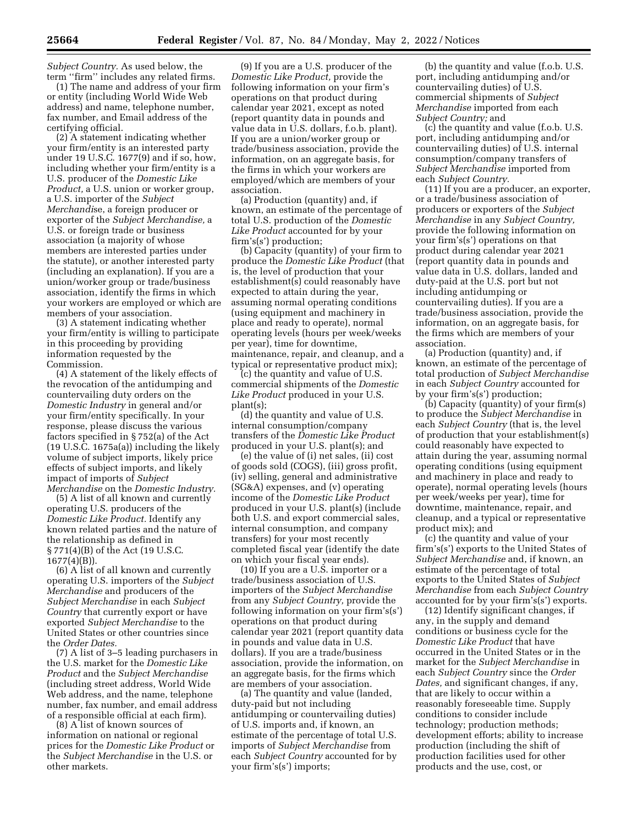*Subject Country.* As used below, the term ''firm'' includes any related firms.

(1) The name and address of your firm or entity (including World Wide Web address) and name, telephone number, fax number, and Email address of the certifying official.

(2) A statement indicating whether your firm/entity is an interested party under 19 U.S.C. 1677(9) and if so, how, including whether your firm/entity is a U.S. producer of the *Domestic Like Product,* a U.S. union or worker group, a U.S. importer of the *Subject Merchandi*se, a foreign producer or exporter of the *Subject Merchandise,* a U.S. or foreign trade or business association (a majority of whose members are interested parties under the statute), or another interested party (including an explanation). If you are a union/worker group or trade/business association, identify the firms in which your workers are employed or which are members of your association.

(3) A statement indicating whether your firm/entity is willing to participate in this proceeding by providing information requested by the Commission.

(4) A statement of the likely effects of the revocation of the antidumping and countervailing duty orders on the *Domestic Industry* in general and/or your firm/entity specifically. In your response, please discuss the various factors specified in § 752(a) of the Act (19 U.S.C. 1675a(a)) including the likely volume of subject imports, likely price effects of subject imports, and likely impact of imports of *Subject Merchandise* on the *Domestic Industry.* 

(5) A list of all known and currently operating U.S. producers of the *Domestic Like Product.* Identify any known related parties and the nature of the relationship as defined in § 771(4)(B) of the Act (19 U.S.C. 1677(4)(B)).

(6) A list of all known and currently operating U.S. importers of the *Subject Merchandise* and producers of the *Subject Merchandise* in each *Subject Country* that currently export or have exported *Subject Merchandise* to the United States or other countries since the *Order Dates.* 

(7) A list of 3–5 leading purchasers in the U.S. market for the *Domestic Like Product* and the *Subject Merchandise*  (including street address, World Wide Web address, and the name, telephone number, fax number, and email address of a responsible official at each firm).

(8) A list of known sources of information on national or regional prices for the *Domestic Like Product* or the *Subject Merchandise* in the U.S. or other markets.

(9) If you are a U.S. producer of the *Domestic Like Product,* provide the following information on your firm's operations on that product during calendar year 2021, except as noted (report quantity data in pounds and value data in U.S. dollars, f.o.b. plant). If you are a union/worker group or trade/business association, provide the information, on an aggregate basis, for the firms in which your workers are employed/which are members of your association.

(a) Production (quantity) and, if known, an estimate of the percentage of total U.S. production of the *Domestic Like Product* accounted for by your firm's(s') production;

(b) Capacity (quantity) of your firm to produce the *Domestic Like Product* (that is, the level of production that your establishment(s) could reasonably have expected to attain during the year, assuming normal operating conditions (using equipment and machinery in place and ready to operate), normal operating levels (hours per week/weeks per year), time for downtime, maintenance, repair, and cleanup, and a typical or representative product mix);

(c) the quantity and value of U.S. commercial shipments of the *Domestic Like Product* produced in your U.S. plant(s);

(d) the quantity and value of U.S. internal consumption/company transfers of the *Domestic Like Product*  produced in your U.S. plant(s); and

(e) the value of (i) net sales, (ii) cost of goods sold (COGS), (iii) gross profit, (iv) selling, general and administrative (SG&A) expenses, and (v) operating income of the *Domestic Like Product*  produced in your U.S. plant(s) (include both U.S. and export commercial sales, internal consumption, and company transfers) for your most recently completed fiscal year (identify the date on which your fiscal year ends).

(10) If you are a U.S. importer or a trade/business association of U.S. importers of the *Subject Merchandise*  from any *Subject Country,* provide the following information on your firm's(s') operations on that product during calendar year 2021 (report quantity data in pounds and value data in U.S. dollars). If you are a trade/business association, provide the information, on an aggregate basis, for the firms which are members of your association.

(a) The quantity and value (landed, duty-paid but not including antidumping or countervailing duties) of U.S. imports and, if known, an estimate of the percentage of total U.S. imports of *Subject Merchandise* from each *Subject Country* accounted for by your firm's(s') imports;

(b) the quantity and value (f.o.b. U.S. port, including antidumping and/or countervailing duties) of U.S. commercial shipments of *Subject Merchandise* imported from each *Subject Country;* and

(c) the quantity and value (f.o.b. U.S. port, including antidumping and/or countervailing duties) of U.S. internal consumption/company transfers of *Subject Merchandise* imported from each *Subject Country.* 

(11) If you are a producer, an exporter, or a trade/business association of producers or exporters of the *Subject Merchandise* in any *Subject Country,*  provide the following information on your firm's(s') operations on that product during calendar year 2021 (report quantity data in pounds and value data in U.S. dollars, landed and duty-paid at the U.S. port but not including antidumping or countervailing duties). If you are a trade/business association, provide the information, on an aggregate basis, for the firms which are members of your association.

(a) Production (quantity) and, if known, an estimate of the percentage of total production of *Subject Merchandise*  in each *Subject Country* accounted for by your firm's(s') production;

(b) Capacity (quantity) of your firm(s) to produce the *Subject Merchandise* in each *Subject Country* (that is, the level of production that your establishment(s) could reasonably have expected to attain during the year, assuming normal operating conditions (using equipment and machinery in place and ready to operate), normal operating levels (hours per week/weeks per year), time for downtime, maintenance, repair, and cleanup, and a typical or representative product mix); and

(c) the quantity and value of your firm's(s') exports to the United States of *Subject Merchandise* and, if known, an estimate of the percentage of total exports to the United States of *Subject Merchandise* from each *Subject Country*  accounted for by your firm's(s') exports.

(12) Identify significant changes, if any, in the supply and demand conditions or business cycle for the *Domestic Like Product* that have occurred in the United States or in the market for the *Subject Merchandise* in each *Subject Country* since the *Order Dates,* and significant changes, if any, that are likely to occur within a reasonably foreseeable time. Supply conditions to consider include technology; production methods; development efforts; ability to increase production (including the shift of production facilities used for other products and the use, cost, or